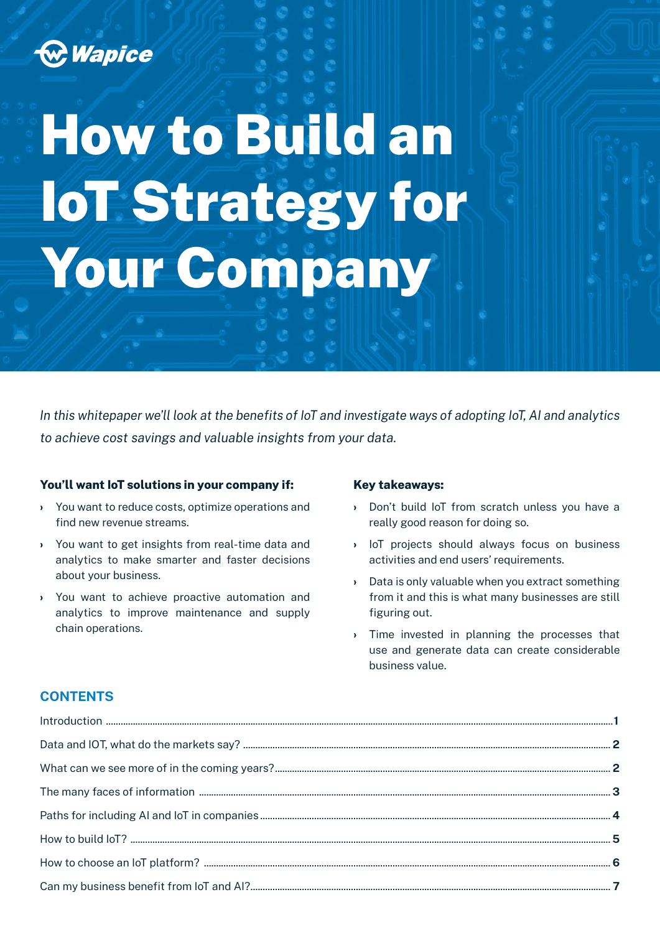

# How to Build an IoT Strategy for Your Company

*In this whitepaper we'll look at the benefits of IoT and investigate ways of adopting IoT, AI and analytics to achieve cost savings and valuable insights from your data.*

#### **You'll want IoT solutions in your company if:**

- › You want to reduce costs, optimize operations and find new revenue streams.
- › You want to get insights from real-time data and analytics to make smarter and faster decisions about your business.
- › You want to achieve proactive automation and analytics to improve maintenance and supply chain operations.

#### **Key takeaways:**

- › Don't build IoT from scratch unless you have a really good reason for doing so.
- › IoT projects should always focus on business activities and end users' requirements.
- › Data is only valuable when you extract something from it and this is what many businesses are still figuring out.
- › Time invested in planning the processes that use and generate data can create considerable business value.

### **CONTENTS**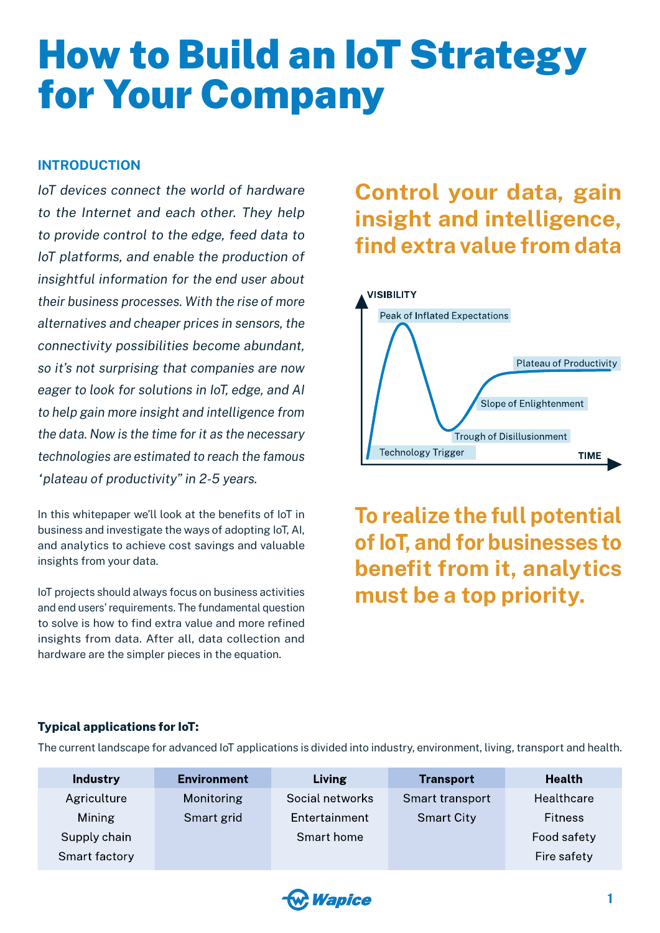## <span id="page-1-0"></span>How to Build an IoT Strategy for Your Company

### **INTRODUCTION**

*IoT devices connect the world of hardware to the Internet and each other. They help to provide control to the edge, feed data to IoT platforms, and enable the production of insightful information for the end user about their business processes. With the rise of more alternatives and cheaper prices in sensors, the connectivity possibilities become abundant, so it's not surprising that companies are now eager to look for solutions in IoT, edge, and AI to help gain more insight and intelligence from the data. Now is the time for it as the necessary technologies are estimated to reach the famous "plateau of productivity" in 2-5 years.*

In this whitepaper we'll look at the benefits of IoT in business and investigate the ways of adopting IoT, AI, and analytics to achieve cost savings and valuable insights from your data.

IoT projects should always focus on business activities and end users' requirements. The fundamental question to solve is how to find extra value and more refined insights from data. After all, data collection and hardware are the simpler pieces in the equation.

### **Control your data, gain insight and intelligence, find extra value from data**



**To realize the full potential of IoT, and for businesses to benefit from it, analytics must be a top priority.**

#### **Typical applications for IoT:**

The current landscape for advanced IoT applications is divided into industry, environment, living, transport and health.

| <b>Environment</b> | Living          | <b>Transport</b>  | <b>Health</b>  |
|--------------------|-----------------|-------------------|----------------|
| Monitoring         | Social networks | Smart transport   | Healthcare     |
| Smart grid         | Entertainment   | <b>Smart City</b> | <b>Fitness</b> |
|                    | Smart home      |                   | Food safety    |
|                    |                 |                   | Fire safety    |
|                    |                 |                   |                |

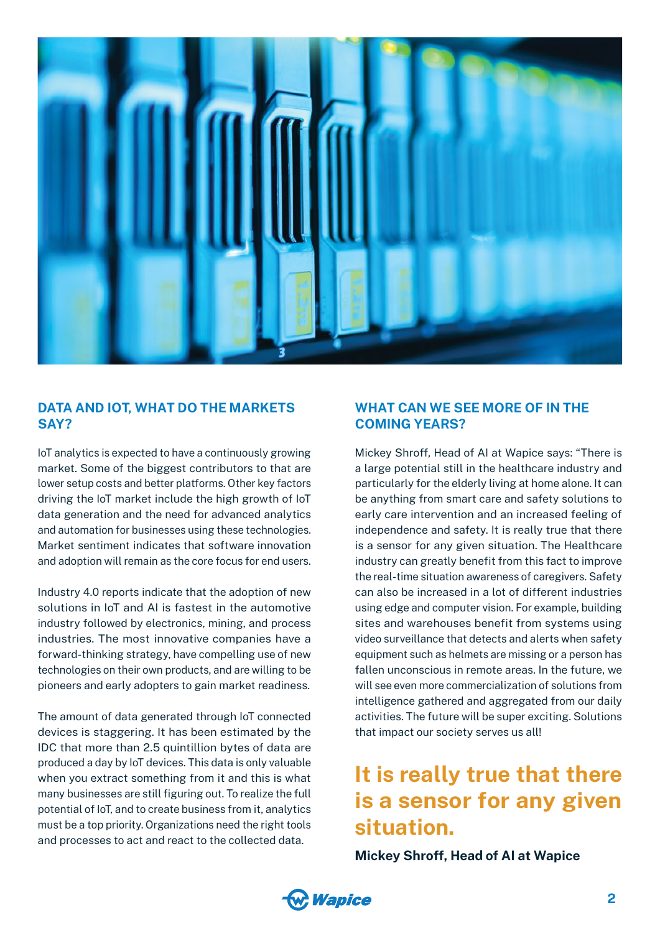<span id="page-2-0"></span>

### **DATA AND IOT, WHAT DO THE MARKETS SAY?**

IoT analytics is expected to have a continuously growing market. Some of the biggest contributors to that are lower setup costs and better platforms. Other key factors driving the IoT market include the high growth of IoT data generation and the need for advanced analytics and automation for businesses using these technologies. Market sentiment indicates that software innovation and adoption will remain as the core focus for end users.

Industry 4.0 reports indicate that the adoption of new solutions in IoT and AI is fastest in the automotive industry followed by electronics, mining, and process industries. The most innovative companies have a forward-thinking strategy, have compelling use of new technologies on their own products, and are willing to be pioneers and early adopters to gain market readiness.

The amount of data generated through IoT connected devices is staggering. It has been estimated by the IDC that more than 2.5 quintillion bytes of data are produced a day by IoT devices. This data is only valuable when you extract something from it and this is what many businesses are still figuring out. To realize the full potential of IoT, and to create business from it, analytics must be a top priority. Organizations need the right tools and processes to act and react to the collected data.

### **WHAT CAN WE SEE MORE OF IN THE COMING YEARS?**

Mickey Shroff, Head of AI at Wapice says: "There is a large potential still in the healthcare industry and particularly for the elderly living at home alone. It can be anything from smart care and safety solutions to early care intervention and an increased feeling of independence and safety. It is really true that there is a sensor for any given situation. The Healthcare industry can greatly benefit from this fact to improve the real-time situation awareness of caregivers. Safety can also be increased in a lot of different industries using edge and computer vision. For example, building sites and warehouses benefit from systems using video surveillance that detects and alerts when safety equipment such as helmets are missing or a person has fallen unconscious in remote areas. In the future, we will see even more commercialization of solutions from intelligence gathered and aggregated from our daily activities. The future will be super exciting. Solutions that impact our society serves us all!

### **It is really true that there is a sensor for any given situation.**

**Mickey Shroff, Head of AI at Wapice**

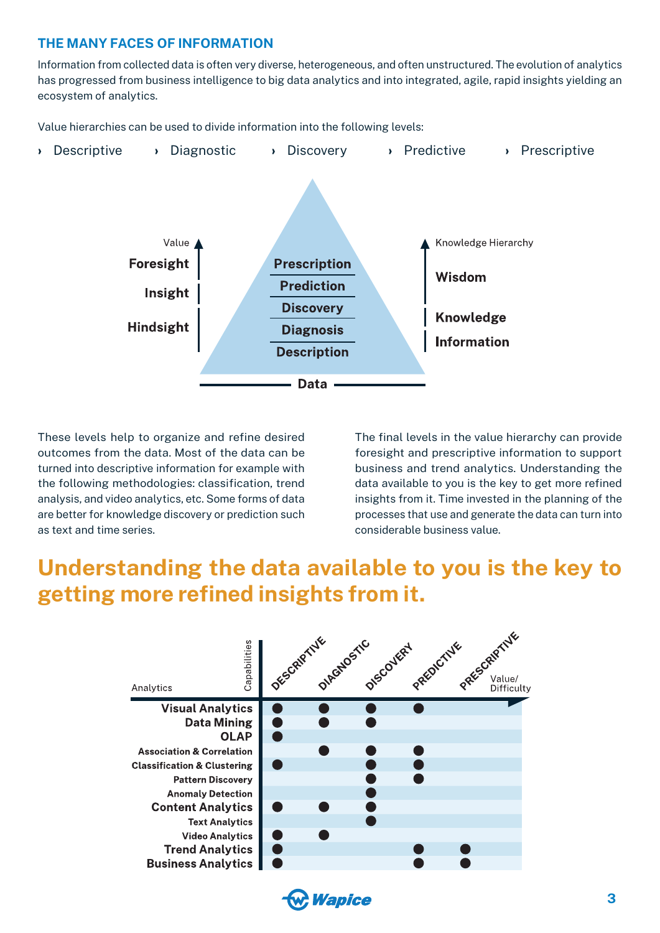### <span id="page-3-0"></span>**THE MANY FACES OF INFORMATION**

Information from collected data is often very diverse, heterogeneous, and often unstructured. The evolution of analytics has progressed from business intelligence to big data analytics and into integrated, agile, rapid insights yielding an ecosystem of analytics.

Value hierarchies can be used to divide information into the following levels:



These levels help to organize and refine desired outcomes from the data. Most of the data can be turned into descriptive information for example with the following methodologies: classification, trend analysis, and video analytics, etc. Some forms of data are better for knowledge discovery or prediction such as text and time series.

The final levels in the value hierarchy can provide foresight and prescriptive information to support business and trend analytics. Understanding the data available to you is the key to get more refined insights from it. Time invested in the planning of the processes that use and generate the data can turn into considerable business value.

### **Understanding the data available to you is the key to getting more refined insights from it.**

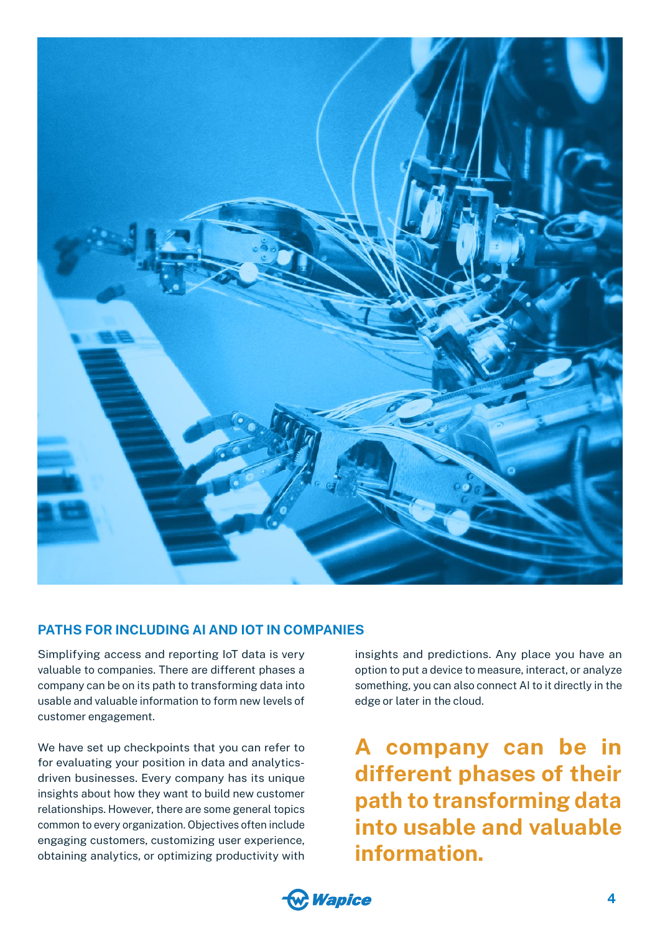<span id="page-4-0"></span>

### **PATHS FOR INCLUDING AI AND IOT IN COMPANIES**

Simplifying access and reporting IoT data is very valuable to companies. There are different phases a company can be on its path to transforming data into usable and valuable information to form new levels of customer engagement.

We have set up checkpoints that you can refer to for evaluating your position in data and analyticsdriven businesses. Every company has its unique insights about how they want to build new customer relationships. However, there are some general topics common to every organization. Objectives often include engaging customers, customizing user experience, obtaining analytics, or optimizing productivity with insights and predictions. Any place you have an option to put a device to measure, interact, or analyze something, you can also connect AI to it directly in the edge or later in the cloud.

**A company can be in different phases of their path to transforming data into usable and valuable information.**

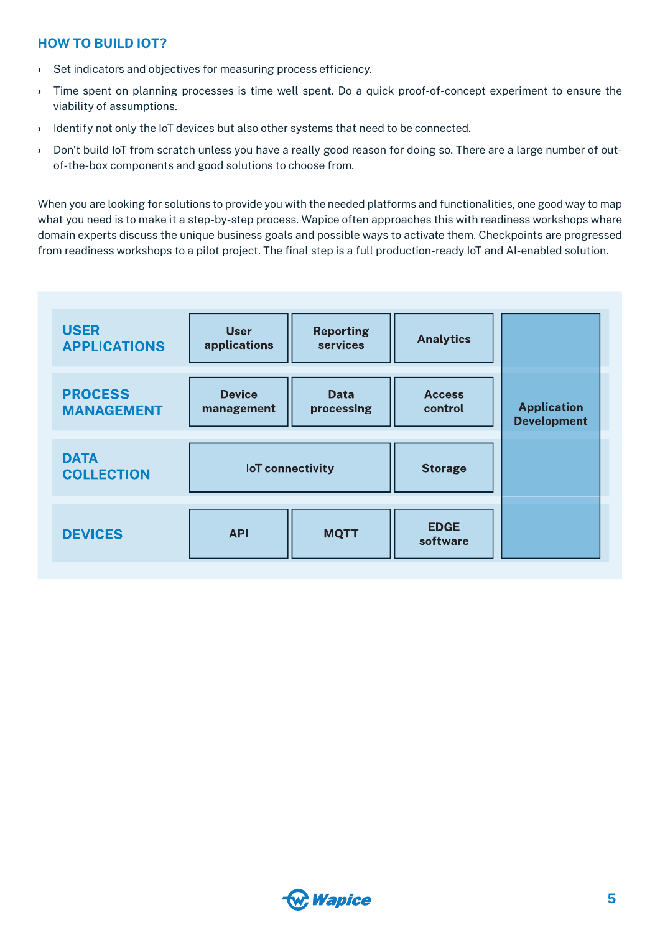### <span id="page-5-0"></span>**HOW TO BUILD IOT?**

- › Set indicators and objectives for measuring process efficiency.
- › Time spent on planning processes is time well spent. Do a quick proof-of-concept experiment to ensure the viability of assumptions.
- › Identify not only the IoT devices but also other systems that need to be connected.
- › Don't build IoT from scratch unless you have a really good reason for doing so. There are a large number of outof-the-box components and good solutions to choose from.

When you are looking for solutions to provide you with the needed platforms and functionalities, one good way to map what you need is to make it a step-by-step process. Wapice often approaches this with readiness workshops where domain experts discuss the unique business goals and possible ways to activate them. Checkpoints are progressed from readiness workshops to a pilot project. The final step is a full production-ready IoT and AI-enabled solution.

| <b>USER</b><br><b>APPLICATIONS</b>  | <b>User</b><br>applications | <b>Reporting</b><br>services | <b>Analytics</b>         |                                          |
|-------------------------------------|-----------------------------|------------------------------|--------------------------|------------------------------------------|
| <b>PROCESS</b><br><b>MANAGEMENT</b> | <b>Device</b><br>management | <b>Data</b><br>processing    | <b>Access</b><br>control | <b>Application</b><br><b>Development</b> |
| <b>DATA</b><br><b>COLLECTION</b>    | <b>IoT</b> connectivity     |                              | <b>Storage</b>           |                                          |
| <b>DEVICES</b>                      | <b>API</b>                  | <b>MQTT</b>                  | <b>EDGE</b><br>software  |                                          |

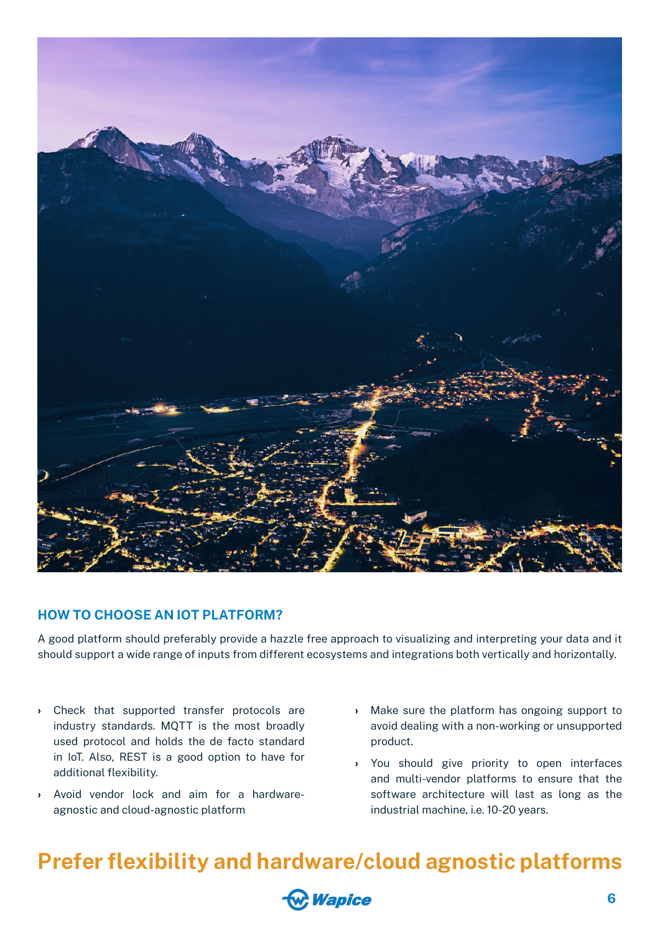<span id="page-6-0"></span>

### **HOW TO CHOOSE AN IOT PLATFORM?**

A good platform should preferably provide a hazzle free approach to visualizing and interpreting your data and it should support a wide range of inputs from different ecosystems and integrations both vertically and horizontally.

- › Check that supported transfer protocols are industry standards. MQTT is the most broadly used protocol and holds the de facto standard in IoT. Also, REST is a good option to have for additional flexibility.
- › Avoid vendor lock and aim for a hardwareagnostic and cloud-agnostic platform
- › Make sure the platform has ongoing support to avoid dealing with a non-working or unsupported product.
- › You should give priority to open interfaces and multi-vendor platforms to ensure that the software architecture will last as long as the industrial machine, i.e. 10-20 years.

### **Prefer flexibility and hardware/cloud agnostic platforms**